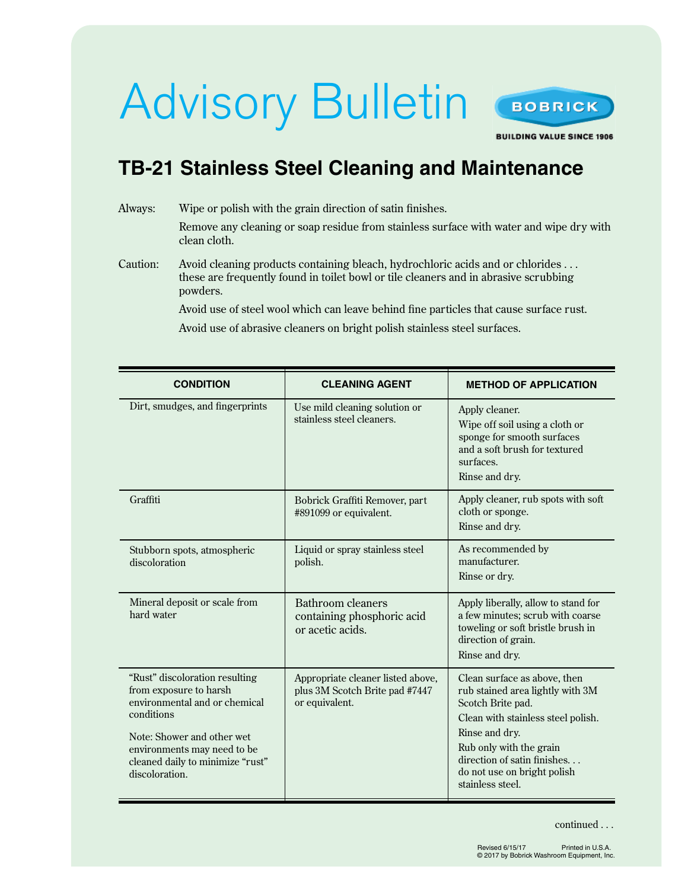# Advisory Bulletin



**BUILDING VALUE SINCE 1906** 

## **TB-21 Stainless Steel Cleaning and Maintenance**

### Always: Wipe or polish with the grain direction of satin finishes. Remove any cleaning or soap residue from stainless surface with water and wipe dry with clean cloth. Caution: Avoid cleaning products containing bleach, hydrochloric acids and or chlorides . . . these are frequently found in toilet bowl or tile cleaners and in abrasive scrubbing powders. Avoid use of steel wool which can leave behind fine particles that cause surface rust.

Avoid use of abrasive cleaners on bright polish stainless steel surfaces.

| <b>CONDITION</b>                                                                                                                                                                                                           | <b>CLEANING AGENT</b>                                                                 | <b>METHOD OF APPLICATION</b>                                                                                                                                                                                                                               |
|----------------------------------------------------------------------------------------------------------------------------------------------------------------------------------------------------------------------------|---------------------------------------------------------------------------------------|------------------------------------------------------------------------------------------------------------------------------------------------------------------------------------------------------------------------------------------------------------|
| Dirt, smudges, and fingerprints                                                                                                                                                                                            | Use mild cleaning solution or<br>stainless steel cleaners.                            | Apply cleaner.<br>Wipe off soil using a cloth or<br>sponge for smooth surfaces<br>and a soft brush for textured<br>surfaces.<br>Rinse and dry.                                                                                                             |
| Graffiti                                                                                                                                                                                                                   | Bobrick Graffiti Remover, part<br>#891099 or equivalent.                              | Apply cleaner, rub spots with soft<br>cloth or sponge.<br>Rinse and dry.                                                                                                                                                                                   |
| Stubborn spots, atmospheric<br>discoloration                                                                                                                                                                               | Liquid or spray stainless steel<br>polish.                                            | As recommended by<br>manufacturer.<br>Rinse or dry.                                                                                                                                                                                                        |
| Mineral deposit or scale from<br>hard water                                                                                                                                                                                | Bathroom cleaners<br>containing phosphoric acid<br>or acetic acids.                   | Apply liberally, allow to stand for<br>a few minutes; scrub with coarse<br>toweling or soft bristle brush in<br>direction of grain.<br>Rinse and dry.                                                                                                      |
| "Rust" discoloration resulting<br>from exposure to harsh<br>environmental and or chemical<br>conditions<br>Note: Shower and other wet<br>environments may need to be<br>cleaned daily to minimize "rust"<br>discoloration. | Appropriate cleaner listed above,<br>plus 3M Scotch Brite pad #7447<br>or equivalent. | Clean surface as above, then<br>rub stained area lightly with 3M<br>Scotch Brite pad.<br>Clean with stainless steel polish.<br>Rinse and dry.<br>Rub only with the grain<br>direction of satin finishes<br>do not use on bright polish<br>stainless steel. |

continued . . .